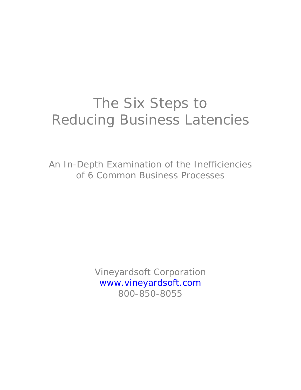# The Six Steps to Reducing Business Latencies

An In-Depth Examination of the Inefficiencies of 6 Common Business Processes

> Vineyardsoft Corporation www.vineyardsoft.com 800-850-8055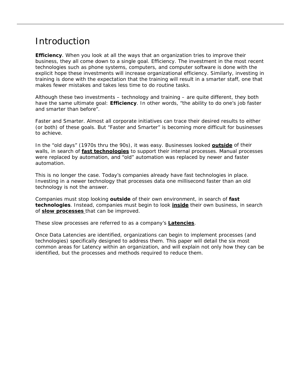# Introduction

**Efficiency**. When you look at all the ways that an organization tries to improve their business, they all come down to a single goal. Efficiency. The investment in the most recent technologies such as phone systems, computers, and computer software is done with the explicit hope these investments will increase organizational efficiency. Similarly, investing in training is done with the expectation that the training will result in a smarter staff, one that makes fewer mistakes and takes less time to do routine tasks.

Although these two investments – technology and training – are quite different, they both have the same ultimate goal: **Efficiency**. In other words, "*the ability to do one's job faster and smarter than before*".

Faster and Smarter. Almost all corporate initiatives can trace their desired results to either (or both) of these goals. But "Faster and Smarter" is becoming more difficult for businesses to achieve.

In the "old days" (1970s thru the 90s), it was easy. Businesses looked **outside** of their walls, in search of **fast technologies** to support their internal processes. Manual processes were replaced by automation, and "old" automation was replaced by newer and faster automation.

This is no longer the case. Today's companies already have fast technologies in place. Investing in a newer technology that processes data one millisecond faster than an old technology is not the answer.

Companies must stop looking **outside** of their own environment, in search of **fast technologies**. Instead, companies must begin to look **inside** their own business, in search of **slow processes** that can be improved.

These slow processes are referred to as a company's **Latencies**.

Once Data Latencies are identified, organizations can begin to implement processes (and technologies) specifically designed to address them. This paper will detail the six most common areas for Latency within an organization, and will explain not only how they can be identified, but the processes and methods required to reduce them.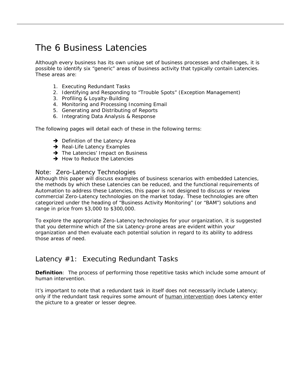# The 6 Business Latencies

Although every business has its own unique set of business processes and challenges, it is possible to identify six "generic" areas of business activity that typically contain Latencies. These areas are:

- 1. Executing Redundant Tasks
- 2. Identifying and Responding to "Trouble Spots" (Exception Management)
- 3. Profiling & Loyalty-Building
- 4. Monitoring and Processing Incoming Email
- 5. Generating and Distributing of Reports
- 6. Integrating Data Analysis & Response

The following pages will detail each of these in the following terms:

- $\rightarrow$  Definition of the Latency Area
- $\rightarrow$  Real-Life Latency Examples
- $\rightarrow$  The Latencies' Impact on Business
- $\rightarrow$  How to Reduce the Latencies

#### Note: Zero-Latency Technologies

Although this paper will discuss examples of business scenarios with embedded Latencies, the methods by which these Latencies can be reduced, and the functional requirements of Automation to address these Latencies, this paper is not designed to discuss or review commercial Zero-Latency technologies on the market today. These technologies are often categorized under the heading of "Business Activity Monitoring" (or "BAM") solutions and range in price from \$3,000 to \$300,000.

To explore the appropriate Zero-Latency technologies for your organization, it is suggested that you determine which of the six Latency-prone areas are evident within your organization and then evaluate each potential solution in regard to its ability to address those areas of need.

## Latency #1: Executing Redundant Tasks

**Definition**: The process of performing those repetitive tasks which include some amount of human intervention.

It's important to note that a redundant task in itself does not necessarily include Latency; only if the redundant task requires some amount of human intervention does Latency enter the picture to a greater or lesser degree.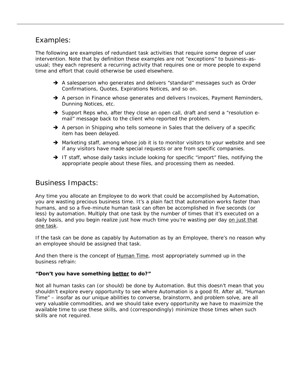## Examples:

The following are examples of redundant task activities that require some degree of user intervention. Note that by definition these examples are not "exceptions" to business-asusual; they each represent a recurring activity that requires one or more people to expend time and effort that could otherwise be used elsewhere.

- $\rightarrow$  A salesperson who generates and delivers "standard" messages such as Order Confirmations, Quotes, Expirations Notices, and so on.
- $\rightarrow$  A person in Finance whose generates and delivers Invoices, Payment Reminders, Dunning Notices, etc.
- $\rightarrow$  Support Reps who, after they close an open call, draft and send a "resolution email" message back to the client who reported the problem.
- $\rightarrow$  A person in Shipping who tells someone in Sales that the delivery of a specific item has been delayed.
- $\rightarrow$  Marketing staff, among whose job it is to monitor visitors to your website and see if any visitors have made special requests or are from specific companies.
- $\rightarrow$  IT staff, whose daily tasks include looking for specific "import" files, notifying the appropriate people about these files, and processing them as needed.

## Business Impacts:

Any time you allocate an Employee to do work that could be accomplished by Automation, you are wasting precious business time. It's a plain fact that automation works faster than humans, and so a five-minute human task can often be accomplished in five seconds (or less) by automation. Multiply that one task by the number of times that it's executed on a daily basis, and you begin realize just how much time you're wasting per day on just that one task.

*If the task can be done as capably by Automation as by an Employee, there's no reason why an employee should be assigned that task.* 

And then there is the concept of Human Time, most appropriately summed up in the business refrain:

#### *"Don't you have something better to do?"*

Not all human tasks can (or should) be done by Automation. But this doesn't mean that you shouldn't explore every opportunity to see where Automation is a good fit. After all, "Human Time" – insofar as our unique abilities to converse, brainstorm, and problem solve, are all very valuable commodities, and we should take every opportunity we have to maximize the available time to use these skills, and (correspondingly) minimize those times when such skills are not required.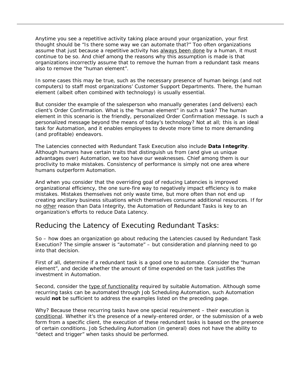Anytime you see a repetitive activity taking place around your organization, your first thought should be "Is there some way we can automate that?" Too often organizations assume that just because a repetitive activity has always been done by a human, it must continue to be so. And chief among the reasons why this assumption is made is that organizations incorrectly assume that to remove the human from a redundant task means also to remove the "human element".

In some cases this may be true, such as the necessary presence of human beings (and not computers) to staff most organizations' Customer Support Departments. There, the human element (albeit often combined with technology) is usually essential.

But consider the example of the salesperson who manually generates (and delivers) each client's Order Confirmation. What is the "human element" in such a task? The human element in this scenario is the friendly, personalized Order Confirmation message. Is such a personalized message beyond the means of today's technology? Not at all; this is an ideal task for Automation, and it enables employees to devote more time to more demanding (and profitable) endeavors.

The Latencies connected with Redundant Task Execution also include **Data Integrity**. Although humans have certain traits that distinguish us from (and give us unique advantages over) Automation, we too have our weaknesses. Chief among them is our proclivity to make mistakes. Consistency of performance is simply not one area where humans outperform Automation.

And when you consider that the overriding goal of reducing Latencies is improved organizational efficiency, the one sure-fire way to negatively impact efficiency is to make mistakes. Mistakes themselves not only waste time, but more often than not end up creating ancillary business situations which themselves consume additional resources. If for no other reason than Data Integrity, the Automation of Redundant Tasks is key to an organization's efforts to reduce Data Latency.

## Reducing the Latency of Executing Redundant Tasks:

So – how does an organization go about reducing the Latencies caused by Redundant Task Execution? The simple answer is "automate" – but consideration and planning need to go into that decision.

First of all, determine if a redundant task is a good one to automate. Consider the "human element", and decide whether the amount of time expended on the task justifies the investment in Automation.

Second, consider the type of functionality required by suitable Automation. Although some recurring tasks can be automated through Job Scheduling Automation, such Automation would **not** be sufficient to address the examples listed on the preceding page.

Why? Because these recurring tasks have one special requirement – their execution is *conditional*. Whether it's the presence of a newly-entered order, or the submission of a web form from a specific client, the execution of these redundant tasks is based on the presence of certain conditions. Job Scheduling Automation (in general) does not have the ability to "detect and trigger" when tasks should be performed.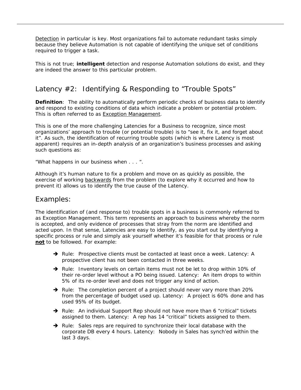Detection in particular is key. Most organizations fail to automate redundant tasks simply because they believe Automation is not capable of identifying the unique set of conditions required to trigger a task.

This is not true; *intelligent* detection and response Automation solutions do exist, and they are indeed the answer to this particular problem.

## Latency #2: Identifying & Responding to "Trouble Spots"

**Definition**: The ability to automatically perform periodic checks of business data to identify and respond to existing conditions of data which indicate a problem or potential problem. This is often referred to as Exception Management.

This is one of the more challenging Latencies for a Business to recognize, since most organizations' approach to trouble (or potential trouble) is to "see it, fix it, and forget about it". As such, the identification of recurring trouble spots (which is where Latency is most apparent) requires an in-depth analysis of an organization's business processes and asking such questions as:

*"What happens in our business when . . . ".* 

Although it's human nature to fix a problem and move on as quickly as possible, the exercise of working backwards from the problem (to explore why it occurred and how to prevent it) allows us to identify the true cause of the Latency.

## Examples:

The identification of (and response to) trouble spots in a business is commonly referred to as Exception Management. This term represents an approach to business whereby the norm is accepted, and only evidence of processes that stray from the norm are identified and acted upon. In that sense, Latencies are easy to identify, as you start out by identifying a specific process or rule and simply ask yourself whether it's feasible for that process or rule **not** to be followed. For example:

- $\rightarrow$  Rule: Prospective clients must be contacted at least once a week. Latency: A prospective client has not been contacted in three weeks.
- $\rightarrow$  Rule: Inventory levels on certain items must not be let to drop within 10% of their re-order level without a PO being issued. Latency: An item drops to within 5% of its re-order level and does not trigger any kind of action.
- $\rightarrow$  Rule: The completion percent of a project should never vary more than 20% from the percentage of budget used up. Latency: A project is 60% done and has used 95% of its budget.
- $\rightarrow$  Rule: An individual Support Rep should not have more than 6 "critical" tickets assigned to them. Latency: A rep has 14 "critical" tickets assigned to them.
- $\rightarrow$  Rule: Sales reps are required to synchronize their local database with the corporate DB every 4 hours. Latency: Nobody in Sales has synch'ed within the last 3 days.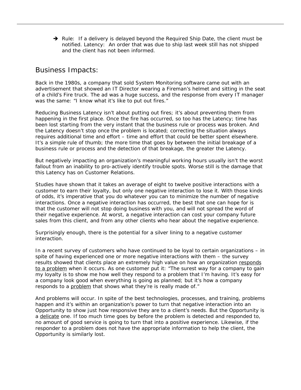$\rightarrow$  Rule: If a delivery is delayed beyond the Required Ship Date, the client must be notified. Latency: An order that was due to ship last week still has not shipped and the client has not been informed.

## Business Impacts:

Back in the 1980s, a company that sold System Monitoring software came out with an advertisement that showed an IT Director wearing a Fireman's helmet and sitting in the seat of a child's Fire truck. The ad was a huge success, and the response from every IT manager was the same: *"I know what it's like to put out fires."*

Reducing Business Latency isn't about putting out fires; it's about preventing them from happening in the first place. Once the fire has occurred, so too has the Latency; time has been lost starting from the very instant that the business rule or process was broken. And the Latency doesn't stop once the problem is located; correcting the situation always requires additional time and effort – time and effort that could be better spent elsewhere. It's a simple rule of thumb; the more time that goes by between the initial breakage of a business rule or process and the detection of that breakage, the greater the Latency.

But negatively impacting an organization's meaningful working hours usually isn't the worst fallout from an inability to pro-actively identify trouble spots. Worse still is the damage that this Latency has on Customer Relations.

Studies have shown that it takes an average of eight to twelve positive interactions with a customer to earn their loyalty, but only one negative interaction to lose it. With those kinds of odds, it's imperative that you do whatever you can to minimize the number of negative interactions. Once a negative interaction has occurred, the best that one can hope for is that the customer will not stop doing business with you, and will not spread the word of their negative experience. At worst, a negative interaction can cost your company future sales from this client, and from any other clients who hear about the negative experience.

Surprisingly enough, there is the potential for a silver lining to a negative customer interaction.

In a recent survey of customers who have continued to be loyal to certain organizations – in spite of having experienced one or more negative interactions with them – the survey results showed that clients place an extremely high value on how an organization *responds to a problem* when it occurs. As one customer put it: "The surest way for a company to gain my loyalty is to show me how well they respond to a problem that I'm having. It's easy for a company look good when everything is going as planned; but it's how a company responds to a problem that shows what they're is really made of."

And problems will occur. In spite of the best technologies, processes, and training, problems happen and it's within an organization's power to turn that negative interaction into an Opportunity to show just how responsive they are to a client's needs. But the Opportunity is a delicate one. If too much time goes by before the problem is detected and responded to, no amount of good service is going to turn that into a positive experience. Likewise, if the responder to a problem does not have the appropriate information to help the client, the Opportunity is similarly lost.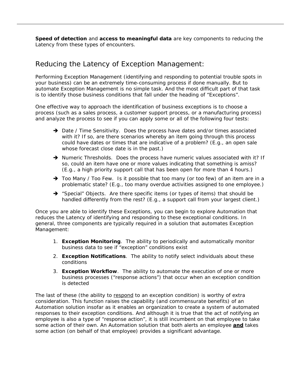**Speed of detection** and **access to meaningful data** are key components to reducing the Latency from these types of encounters.

## Reducing the Latency of Exception Management:

Performing Exception Management (identifying and responding to potential trouble spots in your business) can be an extremely time-consuming process if done manually. But to automate Exception Management is no simple task. And the most difficult part of that task is to identify those business conditions that fall under the heading of "Exceptions".

One effective way to approach the identification of business exceptions is to choose a process (such as a sales process, a customer support process, or a manufacturing process) and analyze the process to see if you can apply some or all of the following four tests:

- $\rightarrow$  Date / Time Sensitivity. Does the process have dates and/or times associated with it? If so, are there scenarios whereby an item going through this process could have dates or times that are indicative of a problem? (E.g., an open sale whose forecast close date is in the past.)
- $\rightarrow$  Numeric Thresholds. Does the process have numeric values associated with it? If so, could an item have one or more values indicating that something is amiss? (E.g., a high priority support call that has been open for more than 4 hours.)
- $\rightarrow$  Too Many / Too Few. Is it possible that too many (or too few) of an item are in a problematic state? (E.g., too many overdue activities assigned to one employee.)
- $\rightarrow$  "Special" Objects. Are there specific items (or types of items) that should be handled differently from the rest? (E.g., a support call from your largest client.)

Once you are able to identify these Exceptions, you can begin to explore Automation that reduces the Latency of identifying and responding to these exceptional conditions. In general, three components are typically required in a solution that automates Exception Management:

- 1. **Exception Monitoring**. The ability to periodically and automatically monitor business data to see if "exception" conditions exist
- 2. **Exception Notifications**. The ability to notify select individuals about these conditions
- 3. **Exception Workflow**. The ability to automate the execution of one or more business processes ("response actions") that occur when an exception condition is detected

The last of these (the ability to *respond* to an exception condition) is worthy of extra consideration. This function raises the capability (and commensurate benefits) of an Automation solution insofar as it enables an organization to create a system of automated responses to their exception conditions. And although it is true that the act of notifying an employee is also a type of "response action", it is still incumbent on that employee to take some action of their own. An Automation solution that both alerts an employee **and** takes some action (on behalf of that employee) provides a significant advantage.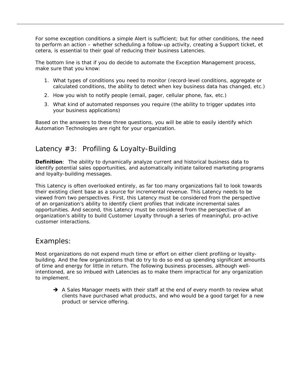For some exception conditions a simple Alert is sufficient; but for other conditions, the need to perform an action – whether scheduling a follow-up activity, creating a Support ticket, et cetera, is essential to their goal of reducing their business Latencies.

The bottom line is that if you do decide to automate the Exception Management process, make sure that you know:

- 1. What types of conditions you need to monitor (record-level conditions, aggregate or calculated conditions, the ability to detect when key business data has changed, etc.)
- 2. How you wish to notify people (email, pager, cellular phone, fax, etc.)
- 3. What kind of automated responses you require (the ability to trigger updates into your business applications)

Based on the answers to these three questions, you will be able to easily identify which Automation Technologies are right for your organization.

## Latency #3: Profiling & Loyalty-Building

**Definition**: The ability to dynamically analyze current and historical business data to identify potential sales opportunities, and automatically initiate tailored marketing programs and loyalty-building messages.

This Latency is often overlooked entirely, as far too many organizations fail to look towards their existing client base as a source for incremental revenue. This Latency needs to be viewed from two perspectives. First, this Latency must be considered from the perspective of an organization's ability to identify client profiles that indicate incremental sales opportunities. And second, this Latency must be considered from the perspective of an organization's ability to build Customer Loyalty through a series of meaningful, pro-active customer interactions.

## Examples:

Most organizations do not expend much time or effort on either client profiling or loyaltybuilding. And the few organizations that do try to do so end up spending significant amounts of time and energy for little in return. The following business processes, although wellintentioned, are so imbued with Latencies as to make them impractical for any organization to implement.

 $\rightarrow$  A Sales Manager meets with their staff at the end of every month to review what clients have purchased what products, and who would be a good target for a new product or service offering.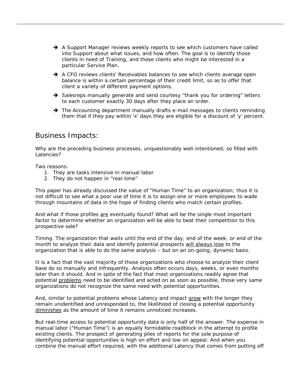- A Support Manager reviews weekly reports to see which customers have called into Support about what issues, and how often. The goal is to identify those clients in need of Training, and those clients who might be interested in a particular Service Plan.
- $\rightarrow$  A CFO reviews clients' Receivables balances to see which clients average open balance is within a certain percentage of their credit limit, so as to offer that client a variety of different payment options.
- $\rightarrow$  Salesreps manually generate and send courtesy "thank you for ordering" letters to each customer exactly 30 days after they place an order.
- $\rightarrow$  The Accounting department manually drafts e-mail messages to clients reminding them that if they pay within 'x' days they are eligible for a discount of 'y' percent.

## Business Impacts:

Why are the preceding business processes, unquestionably well-intentioned, so filled with Latencies?

Two reasons:

- 1. They are tasks intensive in manual labor
- 2. They do not happen in "real-time"

This paper has already discussed the value of "Human Time" to an organization; thus it is not difficult to see what a poor use of time it is to assign one or more employees to wade through mountains of data in the hope of finding clients who match certain profiles.

And what if those profiles *are* eventually found? What will be the single most important factor to determine whether an organization will be able to beat their competition to this prospective sale?

Timing. The organization that waits until the end of the day, end of the week, or end of the month to analyze their data and identify potential prospects will always lose to the organization that is able to do the same analysis – but on an on-going, dynamic basis.

It is a fact that the vast majority of those organizations who choose to analyze their client base do so manually and infrequently. Analysis often occurs days, weeks, or even months later than it should. And in spite of the fact that most organizations readily agree that potential problems need to be identified and acted on as soon as possible, those very same organizations do not recognize the same need with potential opportunities.

And, similar to potential problems whose Latency and impact grow with the longer they remain unidentified and unresponded to, the likelihood of closing a potential opportunity diminishes as the amount of time it remains unnoticed increases.

But real-time access to potential opportunity data is only half of the answer. The expense in manual labor ("Human Time") is an equally formidable roadblock in the attempt to profile existing clients. The prospect of generating piles of reports for the sole purpose of identifying potential opportunities is high on effort and low on appeal. And when you combine the manual effort required, with the additional Latency that comes from putting off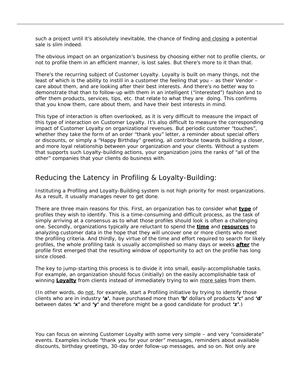such a project until it's absolutely inevitable, the chance of finding and closing a potential sale is slim indeed.

The obvious impact on an organization's business by choosing either not to profile clients, or not to profile them in an efficient manner, is lost sales. But there's more to it than that.

There's the recurring subject of Customer Loyalty. Loyalty is built on many things, not the least of which is the ability to instill in a customer the feeling that you – as their Vendor – care about them, and are looking after their best interests. And there's no better way to demonstrate that than to follow-up with them in an intelligent ("interested") fashion and to offer them products, services, tips, etc. that relate to what they are doing. This confirms that you know them, care about them, and have their best interests in mind.

This type of interaction is often overlooked, as it is very difficult to measure the impact of this type of interaction on Customer Loyalty. It's also difficult to measure the corresponding impact of Customer Loyalty on organizational revenues. But periodic customer "touches", whether they take the form of an order "thank you" letter, a reminder about special offers or discounts, or simply a "Happy Birthday" greeting, all contribute towards building a closer, and more loyal relationship between your organization and your clients. Without a system that supports such Loyalty-building actions, your organization joins the ranks of "all of the other" companies that your clients do business with.

## Reducing the Latency in Profiling & Loyalty-Building:

Instituting a Profiling and Loyalty-Building system is not high priority for most organizations. As a result, it usually manages never to get done.

There are three main reasons for this. First, an organization has to consider what **type** of profiles they wish to identify. This is a time-consuming and difficult process, as the task of simply arriving at a consensus as to what those profiles should look is often a challenging one. Secondly, organizations typically are reluctant to spend the **time** and **resources** to analyzing customer data in the hope that they will uncover one or more clients who meet the profiling criteria. And thirdly, by virtue of the time and effort required to search for likely profiles, the whole profiling task is usually accomplished so many days or weeks **after** the profile first emerged that the resulting window of opportunity to act on the profile has long since closed.

The key to jump-starting this process is to divide it into small, easily-accomplishable tasks. For example, an organization should focus (initially) on the easily accomplishable task of winning **Loyalty** from clients instead of immediately trying to win more sales from them.

(In other words, do not, for example, start a Profiling initiative by trying to identify those clients who are in industry **'a'**, have purchased more than **'b'** dollars of products **'c'** and **'d'** between dates **'x'** and **'y'** and therefore might be a good candidate for product **'z'**.)

You can focus on winning Customer Loyalty with some very simple – and very "considerate" events. Examples include "thank you for your order" messages, reminders about available discounts, birthday greetings, 30-day order follow-up messages, and so on. Not only are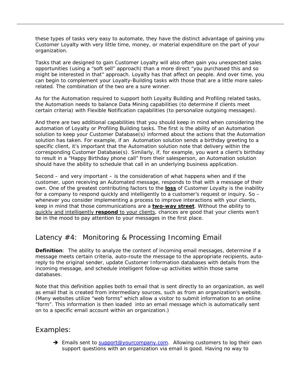these types of tasks very easy to automate, they have the distinct advantage of gaining you Customer Loyalty with very little time, money, or material expenditure on the part of your organization.

Tasks that are designed to gain Customer Loyalty will also often gain you unexpected sales opportunities (using a "soft sell" approach) than a more direct "you purchased this and so might be interested in that" approach. Loyalty has that affect on people. And over time, you can begin to complement your Loyalty-Building tasks with those that are a little more salesrelated. The combination of the two are a sure winner.

As for the Automation required to support both Loyalty Building and Profiling related tasks, the Automation needs to balance Data Mining capabilities (to determine if clients meet certain criteria) with Flexible Notification capabilities (to personalize outgoing messages).

And there are two additional capabilities that you should keep in mind when considering the automation of Loyalty or Profiling Building tasks. The first is the ability of an Automation solution to keep your Customer Database(s) informed about the actions that the Automation solution has taken. For example, if an Automation solution sends a birthday greeting to a specific client, it's important that the Automation solution note that delivery within the corresponding Customer Database(s). Similarly, if, for example, you want a client's birthday to result in a "Happy Birthday phone call" from their salesperson, an Automation solution should have the ability to schedule that call in an underlying business application.

Second – and very important – is the consideration of what happens when and if the customer, upon receiving an Automated message, responds to that with a message of their own. One of the greatest contributing factors to the **loss** of Customer Loyalty is the inability for a company to respond quickly and intelligently to a customer's request or inquiry. So – whenever you consider implementing a process to improve interactions with your clients, keep in mind that those communications are a **two-way street**. Without the ability to quickly and intelligently **respond** to your clients, chances are good that your clients won't be in the mood to pay attention to your messages in the first place.

## Latency #4: Monitoring & Processing Incoming Email

**Definition**: The ability to analyze the content of incoming email messages, determine if a message meets certain criteria, auto-route the message to the appropriate recipients, autoreply to the original sender, update Customer Information databases with details from the incoming message, and schedule intelligent follow-up activities within those same databases.

Note that this definition applies both to email that is sent directly to an organization, as well as email that is created from intermediary sources, such as from an organization's website. (Many websites utilize "web forms" which allow a visitor to submit information to an online "form". This information is then loaded into an email message which is automatically sent on to a specific email account within an organization.)

## Examples:

→ Emails sent to support@yourcompany.com. Allowing customers to log their own support questions with an organization via email is good. Having no way to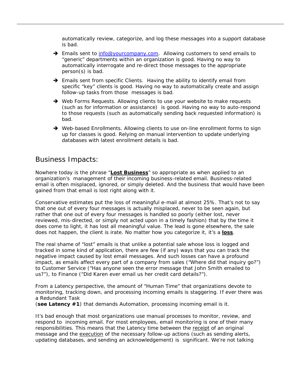automatically review, categorize, and log these messages into a support database is bad.

- → Emails sent to info@yourcompany.com. Allowing customers to send emails to "generic" departments within an organization is good. Having no way to automatically interrogate and re-direct those messages to the appropriate person(s) is bad.
- $\rightarrow$  Emails sent from specific Clients. Having the ability to identify email from specific "key" clients is good. Having no way to automatically create and assign follow-up tasks from those messages is bad.
- $\rightarrow$  Web Forms Requests. Allowing clients to use your website to make requests (such as for information or assistance) is good. Having no way to auto-respond to those requests (such as automatically sending back requested information) is bad.
- $\rightarrow$  Web-based Enrollments. Allowing clients to use on-line enrollment forms to sign up for classes is good. Relying on manual intervention to update underlying databases with latest enrollment details is bad.

## Business Impacts:

Nowhere today is the phrase "**Lost Business**" so appropriate as when applied to an organization's management of their incoming business-related email. Business-related email is often misplaced, ignored, or simply deleted. And the business that would have been gained from that email is lost right along with it.

Conservative estimates put the loss of meaningful e-mail at almost 25%. That's not to say that one out of every four messages is actually misplaced, never to be seen again, but rather that one out of every four messages is handled so poorly (either lost, never reviewed, mis-directed, or simply not acted upon in a timely fashion) that by the time it does come to light, it has lost all meaningful value. The lead is gone elsewhere, the sale does not happen, the client is irate. No matter how you categorize it, it's a **loss**.

The real shame of "lost" emails is that unlike a potential sale whose loss is logged and tracked in some kind of application, there are few (if any) ways that you can track the negative impact caused by lost email messages. And such losses can have a profound impact, as emails affect every part of a company from sales ("*Where did that inquiry go*?") to Customer Service ("*Has anyone seen the error message that John Smith emailed to us*?"), to Finance ("*Did Karen ever email us her credit card details*?").

From a Latency perspective, the amount of "Human Time" that organizations devote to monitoring, tracking down, and processing incoming emails is staggering. If ever there was a Redundant Task

(**see Latency #1**) that demands Automation, processing incoming email is it.

It's bad enough that most organizations use manual processes to monitor, review, and respond to incoming email. For most employees, email monitoring is one of their many responsibilities. This means that the Latency time between the receipt of an original message and the execution of the necessary follow-up actions (such as sending alerts, updating databases, and sending an acknowledgement) is significant. We're not talking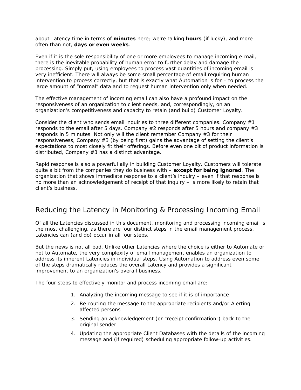about Latency time in terms of **minutes** here; we're talking **hours** (if lucky), and more often than not, **days or even weeks**.

Even if it is the sole responsibility of one or more employees to manage incoming e-mail, there is the inevitable probability of human error to further delay and damage the processing. Simply put, using employees to process vast quantities of incoming email is very inefficient. There will always be some small percentage of email requiring human intervention to process correctly, but that is exactly what Automation is for – to process the large amount of "normal" data and to request human intervention only when needed.

The effective management of incoming email can also have a profound impact on the responsiveness of an organization to client needs, and, correspondingly, on an organization's competitiveness and capacity to retain (and build) Customer Loyalty.

Consider the client who sends email inquiries to three different companies. Company  $#1$ responds to the email after 5 days. Company  $#2$  responds after 5 hours and company  $#3$ responds in 5 minutes. Not only will the client remember Company #3 for their responsiveness, Company #3 (by being first) gains the advantage of setting the client's expectations to most closely fit their offerings. Before even one bit of product information is distributed, Company #3 has a distinct advantage.

Rapid response is also a powerful ally in building Customer Loyalty. Customers will tolerate quite a bit from the companies they do business with – *except for being ignored*. The organization that shows immediate response to a client's inquiry – even if that response is no more than an acknowledgement of receipt of that inquiry – is more likely to retain that client's business.

## Reducing the Latency in Monitoring & Processing Incoming Email

Of all the Latencies discussed in this document, monitoring and processing incoming email is the most challenging, as there are four distinct steps in the email management process. Latencies can (and do) occur in all four steps.

But the news is not all bad. Unlike other Latencies where the choice is either to Automate or not to Automate, the very complexity of email management enables an organization to address its inherent Latencies in individual steps. Using Automation to address even some of the steps dramatically reduces the overall Latency and provides a significant improvement to an organization's overall business.

The four steps to effectively monitor and process incoming email are:

- 1. Analyzing the incoming message to see if it is of importance
- 2. Re-routing the message to the appropriate recipients and/or Alerting affected persons
- 3. Sending an acknowledgement (or "receipt confirmation") back to the original sender
- 4. Updating the appropriate Client Databases with the details of the incoming message and (if required) scheduling appropriate follow-up activities.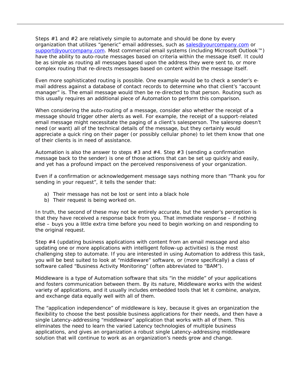Steps #1 and #2 are relatively simple to automate and should be done by every organization that utilizes "generic" email addresses, such as sales@yourcompany.com or support@yourcompany.com. Most commercial email systems (including Microsoft Outlook™) have the ability to auto-route messages based on criteria within the message itself. It could be as simple as routing all messages based upon the address they were sent to, or more complex routing that re-directs messages based on content within the message itself.

Even more sophisticated routing is possible. One example would be to check a sender's email address against a database of contact records to determine who that client's "account manager" is. The email message would then be re-directed to that person. Routing such as this usually requires an additional piece of Automation to perform this comparison.

When considering the auto-routing of a message, consider also whether the receipt of a message should trigger other alerts as well. For example, the receipt of a support-related email message might necessitate the paging of a client's salesperson. The salesrep doesn't need (or want) all of the technical details of the message, but they certainly would appreciate a quick ring on their pager (or possibly cellular phone) to let them know that one of their clients is in need of assistance.

Automation is also the answer to steps  $#3$  and  $#4$ . Step  $#3$  (sending a confirmation message back to the sender) is one of those actions that can be set up quickly and easily, and yet has a profound impact on the perceived responsiveness of your organization.

Even if a confirmation or acknowledgement message says nothing more than "*Thank you for sending in your request*", it tells the sender that:

- a) Their message has not be lost or sent into a black hole
- b) Their request is being worked on.

In truth, the second of these may not be entirely accurate, but the sender's perception is that they have received a response back from you. That immediate response – if nothing else – buys you a little extra time before you need to begin working on and responding to the original request.

Step #4 (updating business applications with content from an email message and also updating one or more applications with intelligent follow-up activities) is the most challenging step to automate. If you are interested in using Automation to address this task, you will be best suited to look at "middleware" software, or (more specifically) a class of software called "Business Activity Monitoring" (often abbreviated to "BAM").

Middleware is a type of Automation software that sits "in the middle" of your applications and fosters communication between them. By its nature, Middleware works with the widest variety of applications, and it usually includes embedded tools that let it combine, analyze, and exchange data equally well with all of them.

The "application independence" of middleware is key, because it gives an organization the flexibility to choose the best possible business applications for their needs, and then have a single Latency-addressing "middleware" application that works with all of them. This eliminates the need to learn the varied Latency technologies of multiple business applications, and gives an organization a robust single Latency-addressing middleware solution that will continue to work as an organization's needs grow and change.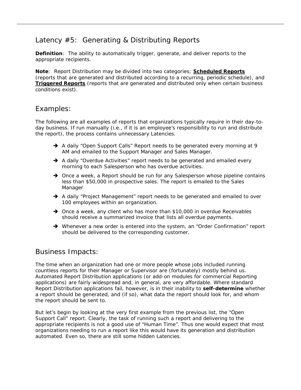# Latency #5: Generating & Distributing Reports

**Definition**: The ability to automatically trigger, generate, and deliver reports to the appropriate recipients.

**Note**: Report Distribution may be divided into two categories; **Scheduled Reports** (reports that are generated and distributed according to a recurring, periodic schedule), and **Triggered Reports** (reports that are generated and distributed only when certain business conditions exist).

## Examples:

The following are all examples of reports that organizations typically require in their day-today business. If run manually (i.e., if it is an employee's responsibility to run and distribute the report), the process contains unnecessary Latencies.

- $\rightarrow$  A daily "Open Support Calls" Report needs to be generated every morning at 9 AM and emailed to the Support Manager and Sales Manager.
- $\rightarrow$  A daily "Overdue Activities" report needs to be generated and emailed every morning to each Salesperson who has overdue activities.
- $\rightarrow$  Once a week, a Report should be run for any Salesperson whose pipeline contains less than \$50,000 in prospective sales. The report is emailed to the Sales Manager
- $\rightarrow$  A daily "Project Management" report needs to be generated and emailed to over 100 employees within an organization.
- $\rightarrow$  Once a week, any client who has more than \$10,000 in overdue Receivables should receive a summarized invoice that lists all overdue payments.
- $\rightarrow$  Whenever a new order is entered into the system, an "Order Confirmation" report should be delivered to the corresponding customer.

## Business Impacts:

The time when an organization had one or more people whose jobs included running countless reports for their Manager or Supervisor are (fortunately) mostly behind us. Automated Report Distribution applications (or add-on modules for commercial Reporting applications) are fairly widespread and, in general, are very affordable. Where standard Report Distribution applications fail, however, is in their inability to *self-determine* whether a report should be generated, and (if so), what data the report should look for, and whom the report should be sent to.

But let's begin by looking at the very first example from the previous list, the "Open Support Call" report. Clearly, the task of running such a report and delivering to the appropriate recipients is not a good use of "Human Time". Thus one would expect that most organizations needing to run a report like this would have its generation and distribution automated. Even so, there are still some hidden Latencies.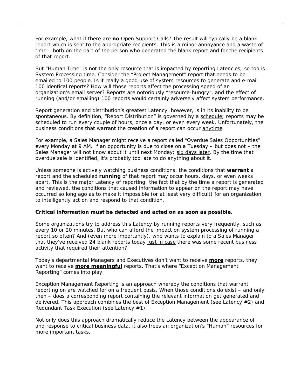For example, what if there are *no* Open Support Calls? The result will typically be a blank report which is sent to the appropriate recipients. This is a minor annoyance and a waste of time – both on the part of the person who generated the blank report and for the recipients of that report.

But "Human Time" is not the only resource that is impacted by reporting Latencies; so too is System Processing time. Consider the "Project Management" report that needs to be emailed to 100 people. Is it really a good use of system resources to generate and e-mail 100 identical reports? How will those reports affect the processing speed of an organization's email server? Reports are notoriously "resource-hungry", and the effect of running (and/or emailing) 100 reports would certainly adversely affect system performance.

Report generation and distribution's greatest Latency, however, is in its inability to be spontaneous. By definition, "Report Distribution" is governed by a schedule; reports may be scheduled to run every couple of hours, once a day, or even every week. Unfortunately, the business conditions that warrant the creation of a report can occur anytime.

For example, a Sales Manager might receive a report called "Overdue Sales Opportunities" every Monday at 9 AM. If an opportunity is due to close on a Tuesday – but does not – the Sales Manager will not know about it until next Monday; six days later. By the time that overdue sale is identified, it's probably too late to do anything about it.

Unless someone is actively watching business conditions, the conditions that **warrant** a report and the scheduled **running** of that report may occur hours, days, or even weeks apart. This is the major Latency of reporting; the fact that by the time a report is generated and reviewed, the conditions that caused information to appear on the report may have occurred so long ago as to make it impossible (or at least very difficult) for an organization to intelligently act on and respond to that condition.

#### **Critical information must be detected and acted on as soon as possible.**

Some organizations try to address this Latency by running reports very frequently, such as every 10 or 20 minutes. But who can afford the impact on system processing of running a report so often? And (even more importantly), who wants to explain to a Sales Manager that they've received 24 blank reports today just in case there was some recent business activity that required their attention?

Today's departmental Managers and Executives don't want to receive *more* reports, they want to receive *more meaningful* reports. That's where "Exception Management Reporting" comes into play.

Exception Management Reporting is an approach whereby the conditions that warrant reporting on are watched for on a frequent basis. When those conditions do exist – and only then – does a corresponding report containing the relevant information get generated and delivered. This approach combines the best of Exception Management (see Latency  $#2$ ) and Redundant Task Execution (see Latency #1).

Not only does this approach dramatically reduce the Latency between the appearance of and response to critical business data, it also frees an organization's "Human" resources for more important tasks.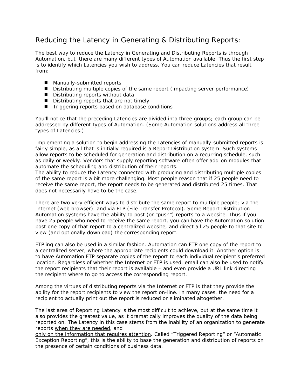# Reducing the Latency in Generating & Distributing Reports:

The best way to reduce the Latency in Generating and Distributing Reports is through Automation, but there are many different types of Automation available. Thus the first step is to identify which Latencies you wish to address. You can reduce Latencies that result from:

- Manually-submitted reports
- Distributing multiple copies of the same report (impacting server performance)
- Distributing reports without data
- Distributing reports that are not timely
- Triggering reports based on database conditions

You'll notice that the preceding Latencies are divided into three groups; each group can be addressed by different types of Automation. (Some Automation solutions address all three types of Latencies.)

Implementing a solution to begin addressing the Latencies of manually-submitted reports is fairly simple, as all that is initially required is a Report Distribution system. Such systems allow reports to be scheduled for generation and distribution on a recurring schedule, such as daily or weekly. Vendors that supply reporting software often offer add-on modules that automate the scheduling and distribution of their reports.

The ability to reduce the Latency connected with producing and distributing multiple copies of the same report is a bit more challenging. Most people reason that if 25 people need to receive the same report, the report needs to be generated and distributed 25 times. That does not necessarily have to be the case.

There are two very efficient ways to distribute the same report to multiple people; via the Internet (web browser), and via FTP (File Transfer Protocol). Some Report Distribution Automation systems have the ability to post (or "push") reports to a website. Thus if you have 25 people who need to receive the same report, you can have the Automation solution post one copy of that report to a centralized website, and direct all 25 people to that site to view (and optionally download) the corresponding report.

FTP'ing can also be used in a similar fashion. Automation can FTP one copy of the report to a centralized server, where the appropriate recipients could download it. Another option is to have Automation FTP separate copies of the report to each individual recipient's preferred location. Regardless of whether the Internet or FTP is used, email can also be used to notify the report recipients that their report is available – and even provide a URL link directing the recipient where to go to access the corresponding report.

Among the virtues of distributing reports via the Internet or FTP is that they provide the ability for the report recipients to view the report on-line. In many cases, the need for a recipient to actually print out the report is reduced or eliminated altogether.

The last area of Reporting Latency is the most difficult to achieve, but at the same time it also provides the greatest value, as it dramatically improves the quality of the data being reported on. The Latency in this case stems from the inability of an organization to generate reports when they are needed, and

only on the information that requires attention. Called "Triggered Reporting" or "Automatic Exception Reporting", this is the ability to base the generation and distribution of reports on the presence of certain conditions of business data.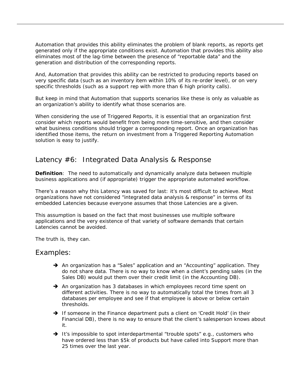Automation that provides this ability eliminates the problem of blank reports, as reports get generated only if the appropriate conditions exist. Automation that provides this ability also eliminates most of the lag-time between the presence of "reportable data" and the generation and distribution of the corresponding reports.

And, Automation that provides this ability can be restricted to producing reports based on very specific data (such as an inventory item within 10% of its re-order level), or on very specific thresholds (such as a support rep with more than 6 high priority calls).

But keep in mind that Automation that supports scenarios like these is only as valuable as an organization's ability to identify what those scenarios are.

When considering the use of Triggered Reports, it is essential that an organization first consider which reports would benefit from being more time-sensitive, and then consider what business conditions should trigger a corresponding report. Once an organization has identified those items, the return on investment from a Triggered Reporting Automation solution is easy to justify.

## Latency #6: Integrated Data Analysis & Response

**Definition**: The need to automatically and dynamically analyze data between multiple business applications and (if appropriate) trigger the appropriate automated workflow.

There's a reason why this Latency was saved for last: it's most difficult to achieve. Most organizations have not considered "integrated data analysis & response" in terms of its embedded Latencies because everyone assumes that those Latencies are a given.

This assumption is based on the fact that most businesses use multiple software applications and the very existence of that variety of software demands that certain Latencies cannot be avoided.

The truth is, they can.

#### Examples:

- → An organization has a "Sales" application and an "Accounting" application. They do not share data. There is no way to know when a client's pending sales (in the Sales DB) would put them over their credit limit (in the Accounting DB).
- $\rightarrow$  An organization has 3 databases in which employees record time spent on different activities. There is no way to automatically total the times from all 3 databases per employee and see if that employee is above or below certain thresholds.
- $\rightarrow$  If someone in the Finance department puts a client on 'Credit Hold' (in their Financial DB), there is no way to ensure that the client's salesperson knows about it.
- $\rightarrow$  It's impossible to spot interdepartmental "trouble spots" e.g., customers who have ordered less than \$5k of products but have called into Support more than 25 times over the last year.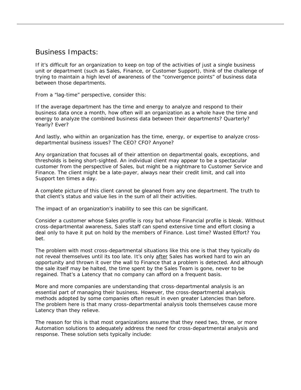## Business Impacts:

If it's difficult for an organization to keep on top of the activities of just a single business unit or department (such as Sales, Finance, or Customer Support), think of the challenge of trying to maintain a high level of awareness of the "convergence points" of business data between those departments.

From a "lag-time" perspective, consider this:

If the average department has the time and energy to analyze and respond to their business data once a month, how often will an organization as a whole have the time and energy to analyze the combined business data between their departments? Quarterly? Yearly? Ever?

And lastly, who within an organization has the time, energy, or expertise to analyze crossdepartmental business issues? The CEO? CFO? Anyone?

Any organization that focuses all of their attention on departmental goals, exceptions, and thresholds is being short-sighted. An individual client may appear to be a spectacular customer from the perspective of Sales, but might be a nightmare to Customer Service and Finance. The client might be a late-payer, always near their credit limit, and call into Support ten times a day.

A complete picture of this client cannot be gleaned from any one department. The truth to that client's status and value lies in the sum of all their activities.

The impact of an organization's inability to see this can be significant.

Consider a customer whose Sales profile is rosy but whose Financial profile is bleak. Without cross-departmental awareness, Sales staff can spend extensive time and effort closing a deal only to have it put on hold by the members of Finance. Lost time? Wasted Effort? You bet.

The problem with most cross-departmental situations like this one is that they typically do not reveal themselves until its too late. It's only after Sales has worked hard to win an opportunity and thrown it over the wall to Finance that a problem is detected. And although the sale itself may be halted, the time spent by the Sales Team is gone, never to be regained. That's a Latency that no company can afford on a frequent basis.

More and more companies are understanding that cross-departmental analysis is an essential part of managing their business. However, the cross-departmental analysis methods adopted by some companies often result in even greater Latencies than before. The problem here is that many cross-departmental analysis tools themselves cause more Latency than they relieve.

The reason for this is that most organizations assume that they need two, three, or more Automation solutions to adequately address the need for cross-departmental analysis and response. These solution sets typically include: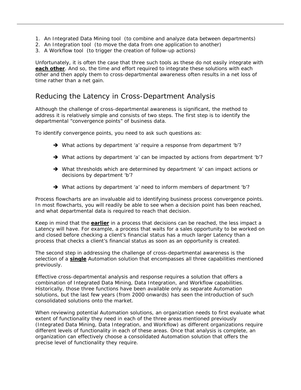- 1. An Integrated Data Mining tool (to combine and analyze data between departments)
- 2. An Integration tool (to move the data from one application to another)
- 3. A Workflow tool (to trigger the creation of follow-up actions)

Unfortunately, it is often the case that three such tools as these do not easily integrate with **each other**. And so, the time and effort required to integrate these solutions with each other and then apply them to cross-departmental awareness often results in a net loss of time rather than a net gain.

## Reducing the Latency in Cross-Department Analysis

Although the challenge of cross-departmental awareness is significant, the method to address it is relatively simple and consists of two steps. The first step is to identify the departmental "convergence points" of business data.

To identify convergence points, you need to ask such questions as:

- $\rightarrow$  What actions by department 'a' require a response from department 'b'?
- $\rightarrow$  What actions by department 'a' can be impacted by actions from department 'b'?
- $\rightarrow$  What thresholds which are determined by department 'a' can impact actions or decisions by department 'b'?
- $\rightarrow$  What actions by department 'a' need to inform members of department 'b'?

Process flowcharts are an invaluable aid to identifying business process convergence points. In most flowcharts, you will readily be able to see when a decision point has been reached, and what departmental data is required to reach that decision.

Keep in mind that the **earlier** in a process that decisions can be reached, the less impact a Latency will have. For example, a process that waits for a sales opportunity to be worked on and closed before checking a client's financial status has a much larger Latency than a process that checks a client's financial status as soon as an opportunity is created.

The second step in addressing the challenge of cross-departmental awareness is the selection of a **single** Automation solution that encompasses all three capabilities mentioned previously.

Effective cross-departmental analysis and response requires a solution that offers a combination of Integrated Data Mining, Data Integration, and Workflow capabilities. Historically, those three functions have been available only as separate Automation solutions, but the last few years (from 2000 onwards) has seen the introduction of such consolidated solutions onto the market.

When reviewing potential Automation solutions, an organization needs to first evaluate what extent of functionality they need in each of the three areas mentioned previously (Integrated Data Mining, Data Integration, and Workflow) as different organizations require different levels of functionality in each of these areas. Once that analysis is complete, an organization can effectively choose a consolidated Automation solution that offers the precise level of functionality they require.